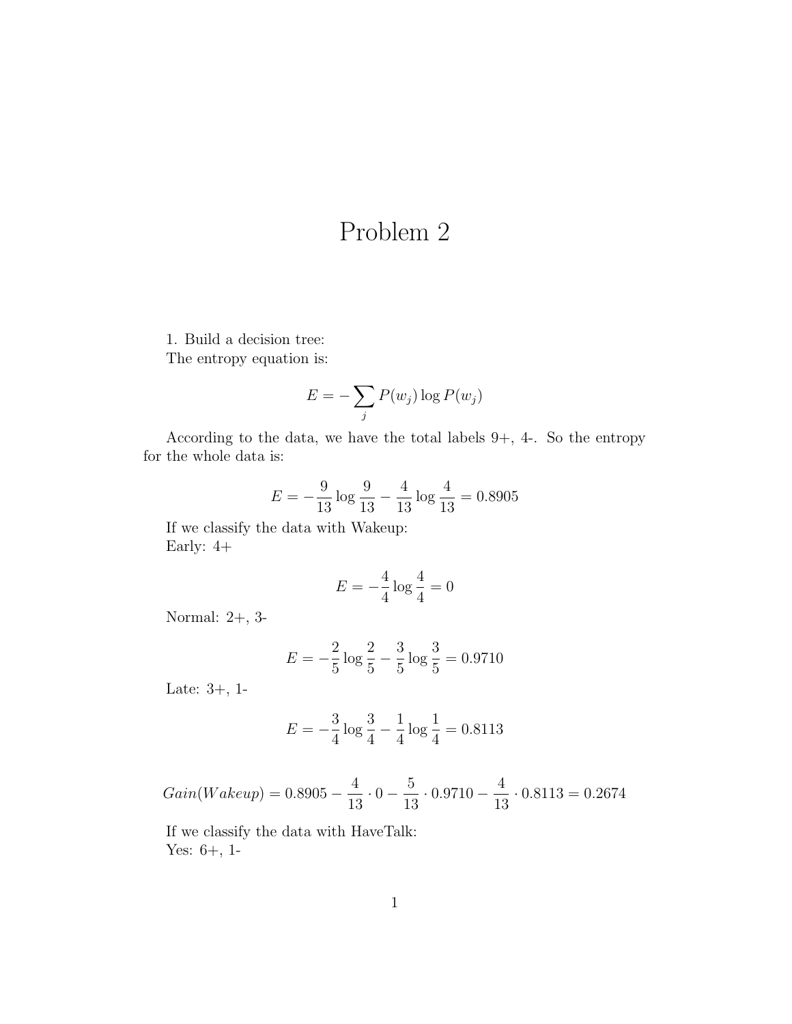## Problem 2

1. Build a decision tree: The entropy equation is:

$$
E = -\sum_{j} P(w_j) \log P(w_j)
$$

According to the data, we have the total labels 9+, 4-. So the entropy for the whole data is:

$$
E = -\frac{9}{13} \log \frac{9}{13} - \frac{4}{13} \log \frac{4}{13} = 0.8905
$$

If we classify the data with Wakeup: Early: 4+

$$
E = -\frac{4}{4}\log\frac{4}{4} = 0
$$

Normal: 2+, 3-

$$
E = -\frac{2}{5}\log\frac{2}{5} - \frac{3}{5}\log\frac{3}{5} = 0.9710
$$

Late: 3+, 1-

$$
E = -\frac{3}{4}\log\frac{3}{4} - \frac{1}{4}\log\frac{1}{4} = 0.8113
$$

 $Gain(Wakeup) = 0.8905 - \frac{4}{15}$ 13  $\cdot 0 - \frac{5}{16}$ 13  $\cdot 0.9710 - \frac{4}{16}$ 13  $\cdot$  0.8113 = 0.2674

If we classify the data with HaveTalk: Yes: 6+, 1-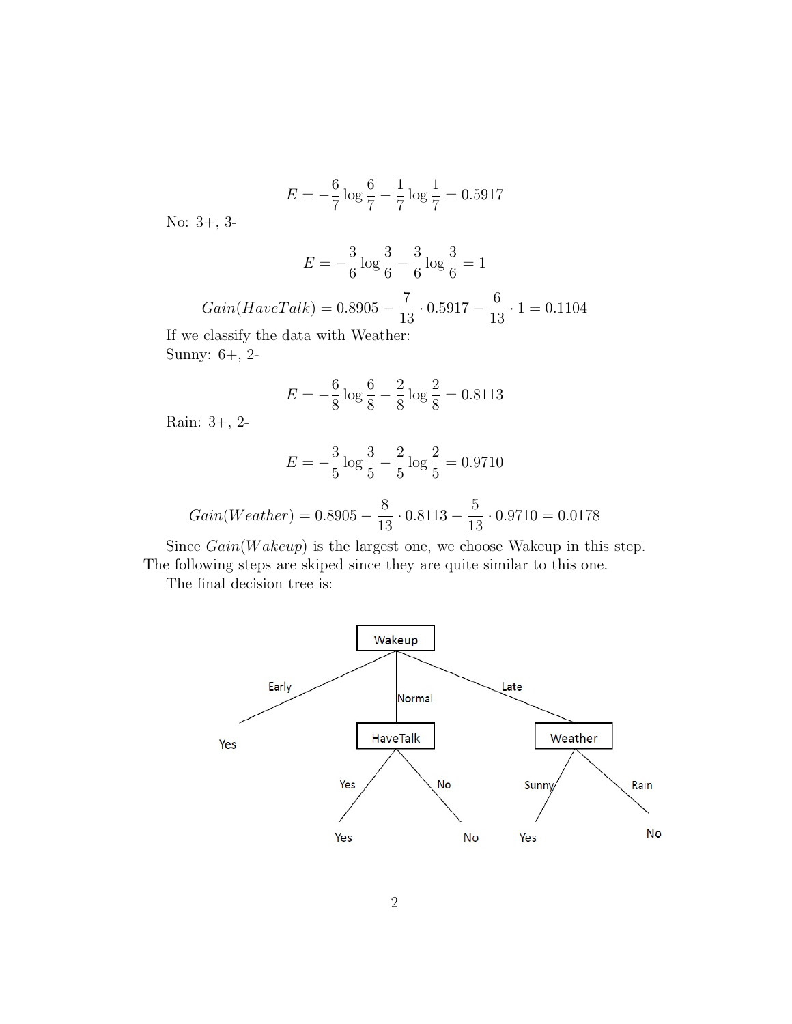$$
E = -\frac{6}{7}\log\frac{6}{7} - \frac{1}{7}\log\frac{1}{7} = 0.5917
$$

No: 3+, 3-

$$
E = -\frac{3}{6}\log\frac{3}{6} - \frac{3}{6}\log\frac{3}{6} = 1
$$

$$
Gain(HaveTalk) = 0.8905 - \frac{7}{13} \cdot 0.5917 - \frac{6}{13} \cdot 1 = 0.1104
$$

If we classify the data with Weather: Sunny: 6+, 2-

$$
E = -\frac{6}{8}\log\frac{6}{8} - \frac{2}{8}\log\frac{2}{8} = 0.8113
$$

Rain: 3+, 2-

$$
E = -\frac{3}{5} \log \frac{3}{5} - \frac{2}{5} \log \frac{2}{5} = 0.9710
$$

$$
Gain(Weather) = 0.8905 - \frac{8}{13} \cdot 0.8113 - \frac{5}{13} \cdot 0.9710 = 0.0178
$$

Since  $Gain(Wakeup)$  is the largest one, we choose Wakeup in this step. The following steps are skiped since they are quite similar to this one.

The final decision tree is: